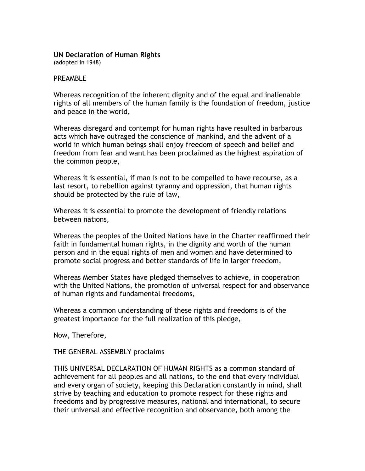#### **UN Declaration of Human Rights**

(adopted in 1948)

#### PRFAMBI<sub>F</sub>

Whereas recognition of the inherent dignity and of the equal and inalienable rights of all members of the human family is the foundation of freedom, justice and peace in the world,

Whereas disregard and contempt for human rights have resulted in barbarous acts which have outraged the conscience of mankind, and the advent of a world in which human beings shall enjoy freedom of speech and belief and freedom from fear and want has been proclaimed as the highest aspiration of the common people,

Whereas it is essential, if man is not to be compelled to have recourse, as a last resort, to rebellion against tyranny and oppression, that human rights should be protected by the rule of law,

Whereas it is essential to promote the development of friendly relations between nations,

Whereas the peoples of the United Nations have in the Charter reaffirmed their faith in fundamental human rights, in the dignity and worth of the human person and in the equal rights of men and women and have determined to promote social progress and better standards of life in larger freedom,

Whereas Member States have pledged themselves to achieve, in cooperation with the United Nations, the promotion of universal respect for and observance of human rights and fundamental freedoms,

Whereas a common understanding of these rights and freedoms is of the greatest importance for the full realization of this pledge,

Now, Therefore,

THE GENERAL ASSEMBLY proclaims

THIS UNIVERSAL DECLARATION OF HUMAN RIGHTS as a common standard of achievement for all peoples and all nations, to the end that every individual and every organ of society, keeping this Declaration constantly in mind, shall strive by teaching and education to promote respect for these rights and freedoms and by progressive measures, national and international, to secure their universal and effective recognition and observance, both among the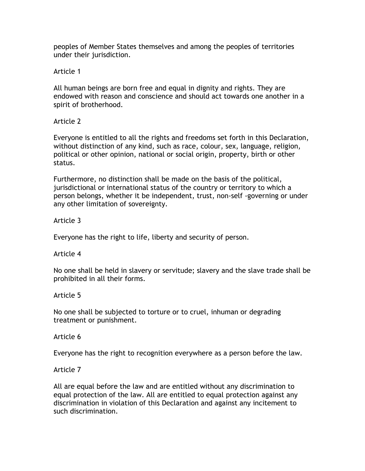peoples of Member States themselves and among the peoples of territories under their jurisdiction.

Article 1

All human beings are born free and equal in dignity and rights. They are endowed with reason and conscience and should act towards one another in a spirit of brotherhood.

Article 2

Everyone is entitled to all the rights and freedoms set forth in this Declaration, without distinction of any kind, such as race, colour, sex, language, religion, political or other opinion, national or social origin, property, birth or other status.

Furthermore, no distinction shall be made on the basis of the political, jurisdictional or international status of the country or territory to which a person belongs, whether it be independent, trust, non-self -governing or under any other limitation of sovereignty.

Article 3

Everyone has the right to life, liberty and security of person.

Article 4

No one shall be held in slavery or servitude; slavery and the slave trade shall be prohibited in all their forms.

Article 5

No one shall be subjected to torture or to cruel, inhuman or degrading treatment or punishment.

Article 6

Everyone has the right to recognition everywhere as a person before the law.

Article 7

All are equal before the law and are entitled without any discrimination to equal protection of the law. All are entitled to equal protection against any discrimination in violation of this Declaration and against any incitement to such discrimination.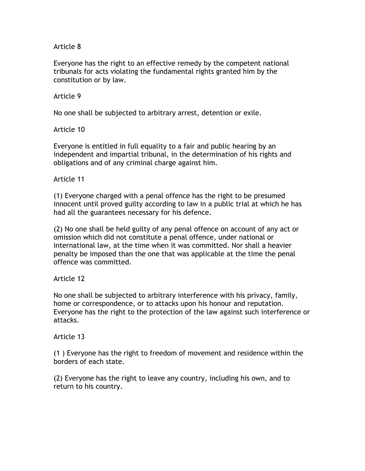Everyone has the right to an effective remedy by the competent national tribunals for acts violating the fundamental rights granted him by the constitution or by law.

### Article 9

No one shall be subjected to arbitrary arrest, detention or exile.

## Article 10

Everyone is entitled in full equality to a fair and public hearing by an independent and impartial tribunal, in the determination of his rights and obligations and of any criminal charge against him.

## Article 11

(1) Everyone charged with a penal offence has the right to be presumed innocent until proved guilty according to law in a public trial at which he has had all the guarantees necessary for his defence.

(2) No one shall be held guilty of any penal offence on account of any act or omission which did not constitute a penal offence, under national or international law, at the time when it was committed. Nor shall a heavier penalty be imposed than the one that was applicable at the time the penal offence was committed.

### Article 12

No one shall be subjected to arbitrary interference with his privacy, family, home or correspondence, or to attacks upon his honour and reputation. Everyone has the right to the protection of the law against such interference or attacks.

### Article 13

(1 ) Everyone has the right to freedom of movement and residence within the borders of each state.

(2) Everyone has the right to leave any country, including his own, and to return to his country.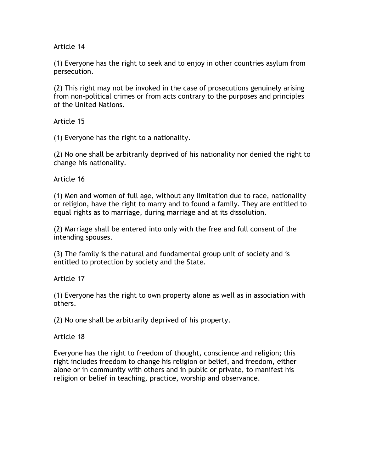(1) Everyone has the right to seek and to enjoy in other countries asylum from persecution.

(2) This right may not be invoked in the case of prosecutions genuinely arising from non-political crimes or from acts contrary to the purposes and principles of the United Nations.

Article 15

(1) Everyone has the right to a nationality.

(2) No one shall be arbitrarily deprived of his nationality nor denied the right to change his nationality.

Article 16

(1) Men and women of full age, without any limitation due to race, nationality or religion, have the right to marry and to found a family. They are entitled to equal rights as to marriage, during marriage and at its dissolution.

(2) Marriage shall be entered into only with the free and full consent of the intending spouses.

(3) The family is the natural and fundamental group unit of society and is entitled to protection by society and the State.

Article 17

(1) Everyone has the right to own property alone as well as in association with others.

(2) No one shall be arbitrarily deprived of his property.

Article 18

Everyone has the right to freedom of thought, conscience and religion; this right includes freedom to change his religion or belief, and freedom, either alone or in community with others and in public or private, to manifest his religion or belief in teaching, practice, worship and observance.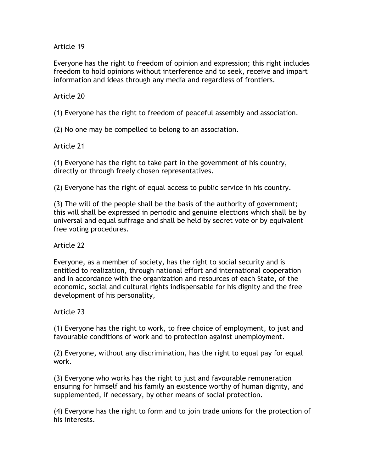Everyone has the right to freedom of opinion and expression; this right includes freedom to hold opinions without interference and to seek, receive and impart information and ideas through any media and regardless of frontiers.

## Article 20

(1) Everyone has the right to freedom of peaceful assembly and association.

(2) No one may be compelled to belong to an association.

## Article 21

(1) Everyone has the right to take part in the government of his country, directly or through freely chosen representatives.

(2) Everyone has the right of equal access to public service in his country.

(3) The will of the people shall be the basis of the authority of government; this will shall be expressed in periodic and genuine elections which shall be by universal and equal suffrage and shall be held by secret vote or by equivalent free voting procedures.

Article 22

Everyone, as a member of society, has the right to social security and is entitled to realization, through national effort and international cooperation and in accordance with the organization and resources of each State, of the economic, social and cultural rights indispensable for his dignity and the free development of his personality,

Article 23

(1) Everyone has the right to work, to free choice of employment, to just and favourable conditions of work and to protection against unemployment.

(2) Everyone, without any discrimination, has the right to equal pay for equal work.

(3) Everyone who works has the right to just and favourable remuneration ensuring for himself and his family an existence worthy of human dignity, and supplemented, if necessary, by other means of social protection.

(4) Everyone has the right to form and to join trade unions for the protection of his interests.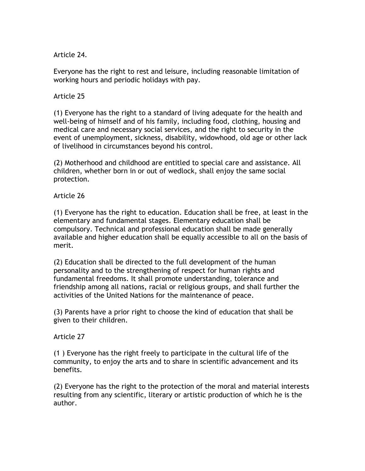Article 24.

Everyone has the right to rest and leisure, including reasonable limitation of working hours and periodic holidays with pay.

## Article 25

(1) Everyone has the right to a standard of living adequate for the health and well-being of himself and of his family, including food, clothing, housing and medical care and necessary social services, and the right to security in the event of unemployment, sickness, disability, widowhood, old age or other lack of livelihood in circumstances beyond his control.

(2) Motherhood and childhood are entitled to special care and assistance. All children, whether born in or out of wedlock, shall enjoy the same social protection.

## Article 26

(1) Everyone has the right to education. Education shall be free, at least in the elementary and fundamental stages. Elementary education shall be compulsory. Technical and professional education shall be made generally available and higher education shall be equally accessible to all on the basis of merit.

(2) Education shall be directed to the full development of the human personality and to the strengthening of respect for human rights and fundamental freedoms. It shall promote understanding, tolerance and friendship among all nations, racial or religious groups, and shall further the activities of the United Nations for the maintenance of peace.

(3) Parents have a prior right to choose the kind of education that shall be given to their children.

### Article 27

(1 ) Everyone has the right freely to participate in the cultural life of the community, to enjoy the arts and to share in scientific advancement and its benefits.

(2) Everyone has the right to the protection of the moral and material interests resulting from any scientific, literary or artistic production of which he is the author.